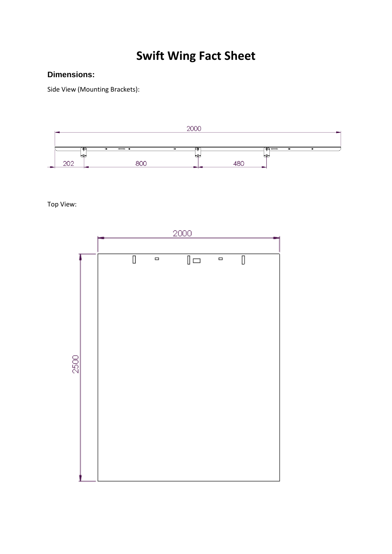# **Swift Wing Fact Sheet**

# **Dimensions:**

Side View (Mounting Brackets):



Top View:

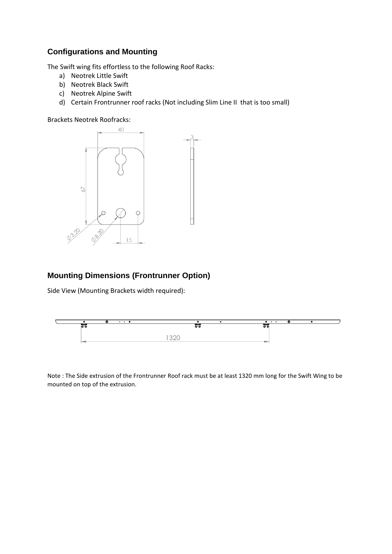# **Configurations and Mounting**

The Swift wing fits effortless to the following Roof Racks:

- a) Neotrek Little Swift
- b) Neotrek Black Swift
- c) Neotrek Alpine Swift
- d) Certain Frontrunner roof racks (Not including Slim Line II that is too small)

Brackets Neotrek Roofracks:



## **Mounting Dimensions (Frontrunner Option)**

Side View (Mounting Brackets width required):



Note : The Side extrusion of the Frontrunner Roof rack must be at least 1320 mm long for the Swift Wing to be mounted on top of the extrusion.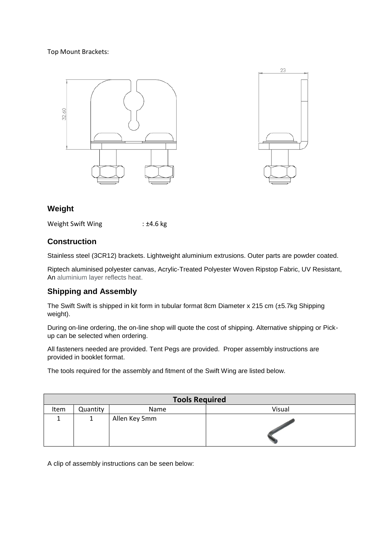#### Top Mount Brackets:





## **Weight**

Weight Swift Wing : ±4.6 kg

## **Construction**

Stainless steel (3CR12) brackets. Lightweight aluminium extrusions. Outer parts are powder coated.

Riptech aluminised polyester canvas, Acrylic-Treated Polyester Woven Ripstop Fabric, UV Resistant, An aluminium layer reflects heat.

## **Shipping and Assembly**

The Swift Swift is shipped in kit form in tubular format 8cm Diameter x 215 cm (±5.7kg Shipping weight).

During on-line ordering, the on-line shop will quote the cost of shipping. Alternative shipping or Pickup can be selected when ordering.

All fasteners needed are provided. Tent Pegs are provided. Proper assembly instructions are provided in booklet format.

The tools required for the assembly and fitment of the Swift Wing are listed below.

| <b>Tools Required</b> |          |               |        |
|-----------------------|----------|---------------|--------|
| Item                  | Quantity | Name          | Visual |
|                       |          | Allen Key 5mm |        |

A clip of assembly instructions can be seen below: